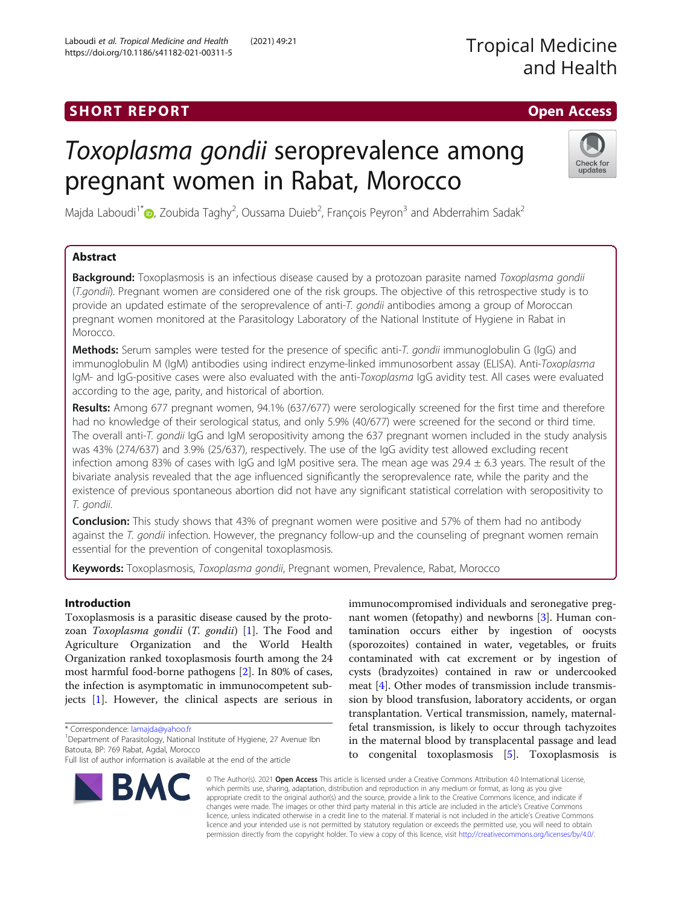## SHORT REPORT AND THE SHORT CONTROL CONTROL CONTROL CONTROL CONTROL CONTROL CONTROL CONTROL CONTROL CONTROL CONTROL CONTROL CONTROL CONTROL CONTROL CONTROL CONTROL CONTROL CONTROL CONTROL CONTROL CONTROL CONTROL CONTROL CON

# Toxoplasma gondii seroprevalence among pregnant women in Rabat, Morocco



Majda Laboudi<sup>1\*</sup>�[,](http://orcid.org/0000-0001-8246-6848) Zoubida Taghy<sup>2</sup>, Oussama Duieb<sup>2</sup>, François Peyron<sup>3</sup> and Abderrahim Sadak<sup>2</sup>

### Abstract

**Background:** Toxoplasmosis is an infectious disease caused by a protozoan parasite named Toxoplasma gondii (T.gondii). Pregnant women are considered one of the risk groups. The objective of this retrospective study is to provide an updated estimate of the seroprevalence of anti-T. gondii antibodies among a group of Moroccan pregnant women monitored at the Parasitology Laboratory of the National Institute of Hygiene in Rabat in Morocco.

Methods: Serum samples were tested for the presence of specific anti-T. gondii immunoglobulin G (IqG) and immunoglobulin M (IgM) antibodies using indirect enzyme-linked immunosorbent assay (ELISA). Anti-Toxoplasma IgM- and IgG-positive cases were also evaluated with the anti-Toxoplasma IgG avidity test. All cases were evaluated according to the age, parity, and historical of abortion.

Results: Among 677 pregnant women, 94.1% (637/677) were serologically screened for the first time and therefore had no knowledge of their serological status, and only 5.9% (40/677) were screened for the second or third time. The overall anti-T. gondii IgG and IgM seropositivity among the 637 pregnant women included in the study analysis was 43% (274/637) and 3.9% (25/637), respectively. The use of the IgG avidity test allowed excluding recent infection among 83% of cases with IgG and IgM positive sera. The mean age was 29.4  $\pm$  6.3 years. The result of the bivariate analysis revealed that the age influenced significantly the seroprevalence rate, while the parity and the existence of previous spontaneous abortion did not have any significant statistical correlation with seropositivity to T. gondii.

**Conclusion:** This study shows that 43% of pregnant women were positive and 57% of them had no antibody against the T. gondii infection. However, the pregnancy follow-up and the counseling of pregnant women remain essential for the prevention of congenital toxoplasmosis.

Keywords: Toxoplasmosis, Toxoplasma gondii, Pregnant women, Prevalence, Rabat, Morocco

#### Introduction

Toxoplasmosis is a parasitic disease caused by the protozoan Toxoplasma gondii (T. gondii) [\[1](#page-6-0)]. The Food and Agriculture Organization and the World Health Organization ranked toxoplasmosis fourth among the 24 most harmful food-borne pathogens [[2\]](#page-6-0). In 80% of cases, the infection is asymptomatic in immunocompetent subjects [[1](#page-6-0)]. However, the clinical aspects are serious in

\* Correspondence: [lamajda@yahoo.fr](mailto:lamajda@yahoo.fr) <sup>1</sup>

Full list of author information is available at the end of the article

immunocompromised individuals and seronegative pregnant women (fetopathy) and newborns [\[3](#page-6-0)]. Human contamination occurs either by ingestion of oocysts (sporozoites) contained in water, vegetables, or fruits contaminated with cat excrement or by ingestion of cysts (bradyzoites) contained in raw or undercooked meat [\[4\]](#page-6-0). Other modes of transmission include transmission by blood transfusion, laboratory accidents, or organ transplantation. Vertical transmission, namely, maternalfetal transmission, is likely to occur through tachyzoites in the maternal blood by transplacental passage and lead to congenital toxoplasmosis [[5\]](#page-6-0). Toxoplasmosis is



© The Author(s). 2021 Open Access This article is licensed under a Creative Commons Attribution 4.0 International License, which permits use, sharing, adaptation, distribution and reproduction in any medium or format, as long as you give appropriate credit to the original author(s) and the source, provide a link to the Creative Commons licence, and indicate if changes were made. The images or other third party material in this article are included in the article's Creative Commons licence, unless indicated otherwise in a credit line to the material. If material is not included in the article's Creative Commons licence and your intended use is not permitted by statutory regulation or exceeds the permitted use, you will need to obtain permission directly from the copyright holder. To view a copy of this licence, visit [http://creativecommons.org/licenses/by/4.0/.](http://creativecommons.org/licenses/by/4.0/)

<sup>&</sup>lt;sup>1</sup> Department of Parasitology, National Institute of Hygiene, 27 Avenue Ibn Batouta, BP: 769 Rabat, Agdal, Morocco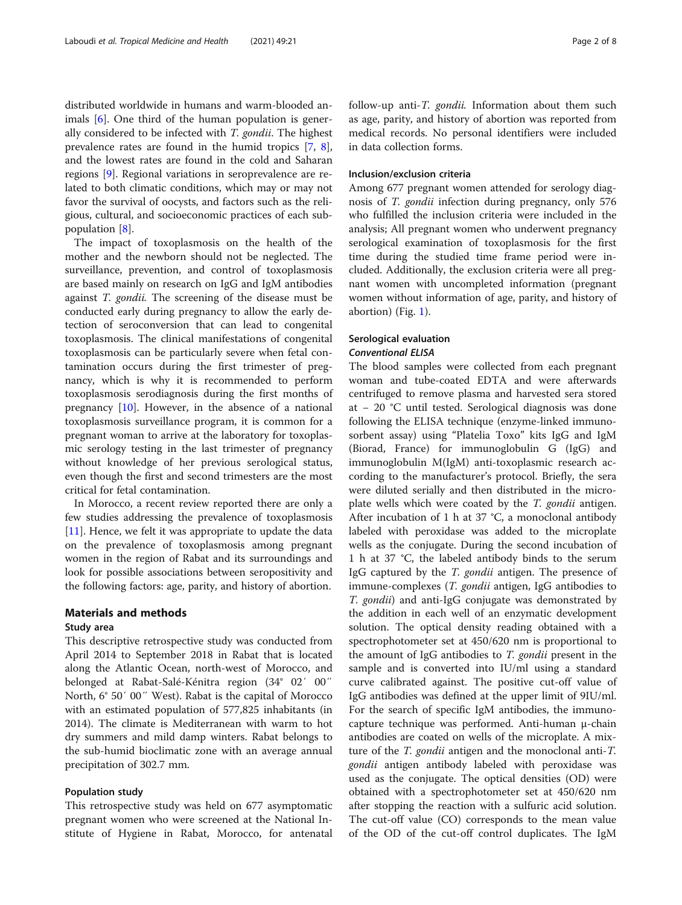distributed worldwide in humans and warm-blooded an-imals [\[6](#page-6-0)]. One third of the human population is generally considered to be infected with T. gondii. The highest prevalence rates are found in the humid tropics [[7,](#page-6-0) [8](#page-6-0)], and the lowest rates are found in the cold and Saharan regions [[9\]](#page-6-0). Regional variations in seroprevalence are related to both climatic conditions, which may or may not favor the survival of oocysts, and factors such as the religious, cultural, and socioeconomic practices of each subpopulation [[8\]](#page-6-0).

The impact of toxoplasmosis on the health of the mother and the newborn should not be neglected. The surveillance, prevention, and control of toxoplasmosis are based mainly on research on IgG and IgM antibodies against T. gondii. The screening of the disease must be conducted early during pregnancy to allow the early detection of seroconversion that can lead to congenital toxoplasmosis. The clinical manifestations of congenital toxoplasmosis can be particularly severe when fetal contamination occurs during the first trimester of pregnancy, which is why it is recommended to perform toxoplasmosis serodiagnosis during the first months of pregnancy  $[10]$  $[10]$ . However, in the absence of a national toxoplasmosis surveillance program, it is common for a pregnant woman to arrive at the laboratory for toxoplasmic serology testing in the last trimester of pregnancy without knowledge of her previous serological status, even though the first and second trimesters are the most critical for fetal contamination.

In Morocco, a recent review reported there are only a few studies addressing the prevalence of toxoplasmosis [[11\]](#page-6-0). Hence, we felt it was appropriate to update the data on the prevalence of toxoplasmosis among pregnant women in the region of Rabat and its surroundings and look for possible associations between seropositivity and the following factors: age, parity, and history of abortion.

#### Materials and methods

#### Study area

This descriptive retrospective study was conducted from April 2014 to September 2018 in Rabat that is located along the Atlantic Ocean, north-west of Morocco, and belonged at Rabat-Salé-Kénitra region (34° 02′ 00″ North, 6° 50′ 00″ West). Rabat is the capital of Morocco with an estimated population of 577,825 inhabitants (in 2014). The climate is Mediterranean with warm to hot dry summers and mild damp winters. Rabat belongs to the sub-humid bioclimatic zone with an average annual precipitation of 302.7 mm.

#### Population study

This retrospective study was held on 677 asymptomatic pregnant women who were screened at the National Institute of Hygiene in Rabat, Morocco, for antenatal follow-up anti-T. gondii. Information about them such as age, parity, and history of abortion was reported from medical records. No personal identifiers were included in data collection forms.

#### Inclusion/exclusion criteria

Among 677 pregnant women attended for serology diagnosis of T. gondii infection during pregnancy, only 576 who fulfilled the inclusion criteria were included in the analysis; All pregnant women who underwent pregnancy serological examination of toxoplasmosis for the first time during the studied time frame period were included. Additionally, the exclusion criteria were all pregnant women with uncompleted information (pregnant women without information of age, parity, and history of abortion) (Fig. [1\)](#page-2-0).

#### Serological evaluation Conventional ELISA

The blood samples were collected from each pregnant woman and tube-coated EDTA and were afterwards centrifuged to remove plasma and harvested sera stored at − 20 °C until tested. Serological diagnosis was done following the ELISA technique (enzyme-linked immunosorbent assay) using "Platelia Toxo" kits IgG and IgM (Biorad, France) for immunoglobulin G (IgG) and immunoglobulin M(IgM) anti-toxoplasmic research according to the manufacturer's protocol. Briefly, the sera were diluted serially and then distributed in the microplate wells which were coated by the T. gondii antigen. After incubation of 1 h at 37 °C, a monoclonal antibody labeled with peroxidase was added to the microplate wells as the conjugate. During the second incubation of 1 h at 37 °C, the labeled antibody binds to the serum IgG captured by the *T. gondii* antigen. The presence of immune-complexes (T. gondii antigen, IgG antibodies to T. gondii) and anti-IgG conjugate was demonstrated by the addition in each well of an enzymatic development solution. The optical density reading obtained with a spectrophotometer set at 450/620 nm is proportional to the amount of IgG antibodies to T. gondii present in the sample and is converted into IU/ml using a standard curve calibrated against. The positive cut-off value of IgG antibodies was defined at the upper limit of 9IU/ml. For the search of specific IgM antibodies, the immunocapture technique was performed. Anti-human μ-chain antibodies are coated on wells of the microplate. A mixture of the *T. gondii* antigen and the monoclonal anti-*T*. gondii antigen antibody labeled with peroxidase was used as the conjugate. The optical densities (OD) were obtained with a spectrophotometer set at 450/620 nm after stopping the reaction with a sulfuric acid solution. The cut-off value (CO) corresponds to the mean value of the OD of the cut-off control duplicates. The IgM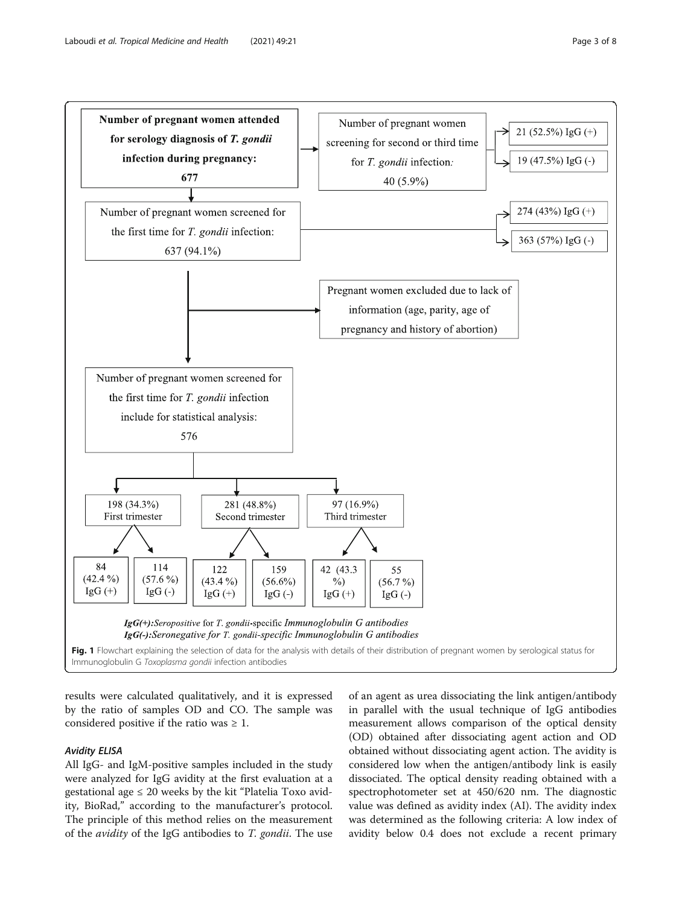<span id="page-2-0"></span>

results were calculated qualitatively, and it is expressed by the ratio of samples OD and CO. The sample was considered positive if the ratio was  $\geq 1$ .

#### Avidity ELISA

All IgG- and IgM-positive samples included in the study were analyzed for IgG avidity at the first evaluation at a gestational age  $\leq 20$  weeks by the kit "Platelia Toxo avidity, BioRad," according to the manufacturer's protocol. The principle of this method relies on the measurement of the avidity of the IgG antibodies to T. gondii. The use of an agent as urea dissociating the link antigen/antibody in parallel with the usual technique of IgG antibodies measurement allows comparison of the optical density (OD) obtained after dissociating agent action and OD obtained without dissociating agent action. The avidity is considered low when the antigen/antibody link is easily dissociated. The optical density reading obtained with a spectrophotometer set at 450/620 nm. The diagnostic value was defined as avidity index (AI). The avidity index was determined as the following criteria: A low index of avidity below 0.4 does not exclude a recent primary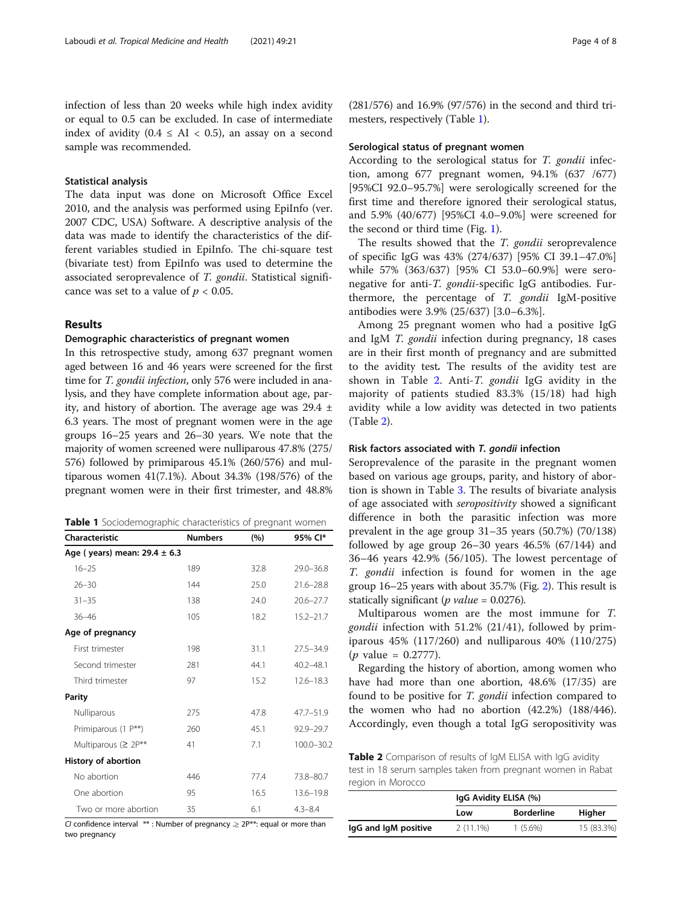#### Statistical analysis

The data input was done on Microsoft Office Excel 2010, and the analysis was performed using EpiInfo (ver. 2007 CDC, USA) Software. A descriptive analysis of the data was made to identify the characteristics of the different variables studied in EpiInfo. The chi-square test (bivariate test) from EpiInfo was used to determine the associated seroprevalence of T. gondii. Statistical significance was set to a value of  $p < 0.05$ .

#### Results

#### Demographic characteristics of pregnant women

In this retrospective study, among 637 pregnant women aged between 16 and 46 years were screened for the first time for T. gondii infection, only 576 were included in analysis, and they have complete information about age, parity, and history of abortion. The average age was  $29.4 \pm$ 6.3 years. The most of pregnant women were in the age groups 16–25 years and 26–30 years. We note that the majority of women screened were nulliparous 47.8% (275/ 576) followed by primiparous 45.1% (260/576) and multiparous women 41(7.1%). About 34.3% (198/576) of the pregnant women were in their first trimester, and 48.8%

|  | Table 1 Sociodemographic characteristics of pregnant women |  |  |
|--|------------------------------------------------------------|--|--|
|--|------------------------------------------------------------|--|--|

| Characteristic                   | <b>Numbers</b> | (%)  | 95% CI*        |  |  |  |
|----------------------------------|----------------|------|----------------|--|--|--|
| Age (years) mean: $29.4 \pm 6.3$ |                |      |                |  |  |  |
| $16 - 25$                        | 189            | 32.8 | $29.0 - 36.8$  |  |  |  |
| $26 - 30$                        | 144            | 25.0 | $21.6 - 28.8$  |  |  |  |
| $31 - 35$                        | 138            | 74.0 | $20.6 - 27.7$  |  |  |  |
| $36 - 46$                        | 105            | 18.2 | $15.2 - 21.7$  |  |  |  |
| Age of pregnancy                 |                |      |                |  |  |  |
| First trimester                  | 198            | 31.1 | $27.5 - 34.9$  |  |  |  |
| Second trimester                 | 281            | 44.1 | $40.2 - 48.1$  |  |  |  |
| Third trimester                  | 97             | 15.2 | $12.6 - 18.3$  |  |  |  |
| <b>Parity</b>                    |                |      |                |  |  |  |
| Nulliparous                      | 275            | 47.8 | $47.7 - 51.9$  |  |  |  |
| Primiparous (1 P**)              | 260            | 45.1 | 92.9-29.7      |  |  |  |
| Multiparous ( $\geq 2P^{**}$     | 41             | 7.1  | $100.0 - 30.2$ |  |  |  |
| <b>History of abortion</b>       |                |      |                |  |  |  |
| No abortion                      | 446            | 77.4 | 73.8-80.7      |  |  |  |
| One abortion                     | 95             | 16.5 | $13.6 - 19.8$  |  |  |  |
| Two or more abortion             | 35             | 6.1  | $4.3 - 8.4$    |  |  |  |

CI confidence interval  $**$ : Number of pregnancy  $\geq 2P^{**}$ : equal or more than two pregnancy

(281/576) and 16.9% (97/576) in the second and third trimesters, respectively (Table 1).

#### Serological status of pregnant women

According to the serological status for T. gondii infection, among 677 pregnant women, 94.1% (637 /677) [95%CI 92.0–95.7%] were serologically screened for the first time and therefore ignored their serological status, and 5.9% (40/677) [95%CI 4.0–9.0%] were screened for the second or third time (Fig. [1](#page-2-0)).

The results showed that the T. gondii seroprevalence of specific IgG was 43% (274/637) [95% CI 39.1–47.0%] while 57% (363/637) [95% CI 53.0–60.9%] were seronegative for anti-T. gondii-specific IgG antibodies. Furthermore, the percentage of T. gondii IgM-positive antibodies were 3.9% (25/637) [3.0–6.3%].

Among 25 pregnant women who had a positive IgG and IgM T. gondii infection during pregnancy, 18 cases are in their first month of pregnancy and are submitted to the avidity test. The results of the avidity test are shown in Table 2. Anti-T. gondii IgG avidity in the majority of patients studied 83.3% (15/18) had high avidity while a low avidity was detected in two patients (Table 2).

#### Risk factors associated with T. gondii infection

Seroprevalence of the parasite in the pregnant women based on various age groups, parity, and history of abortion is shown in Table [3.](#page-4-0) The results of bivariate analysis of age associated with seropositivity showed a significant difference in both the parasitic infection was more prevalent in the age group 31–35 years (50.7%) (70/138) followed by age group  $26-30$  years  $46.5\%$   $(67/144)$  and 36–46 years 42.9% (56/105). The lowest percentage of T. gondii infection is found for women in the age group 16–25 years with about 35.7% (Fig. [2\)](#page-4-0). This result is statically significant (*p value* =  $0.0276$ ).

Multiparous women are the most immune for T. gondii infection with 51.2% (21/41), followed by primiparous 45% (117/260) and nulliparous 40% (110/275)  $(p \text{ value} = 0.2777).$ 

Regarding the history of abortion, among women who have had more than one abortion, 48.6% (17/35) are found to be positive for T. gondii infection compared to the women who had no abortion (42.2%) (188/446). Accordingly, even though a total IgG seropositivity was

Table 2 Comparison of results of IgM ELISA with IgG avidity test in 18 serum samples taken from pregnant women in Rabat region in Morocco

|                      | IgG Avidity ELISA (%) |                   |            |
|----------------------|-----------------------|-------------------|------------|
|                      | Low                   | <b>Borderline</b> | Higher     |
| lgG and lgM positive | $2(11.1\%)$           | $1(5.6\%)$        | 15 (83.3%) |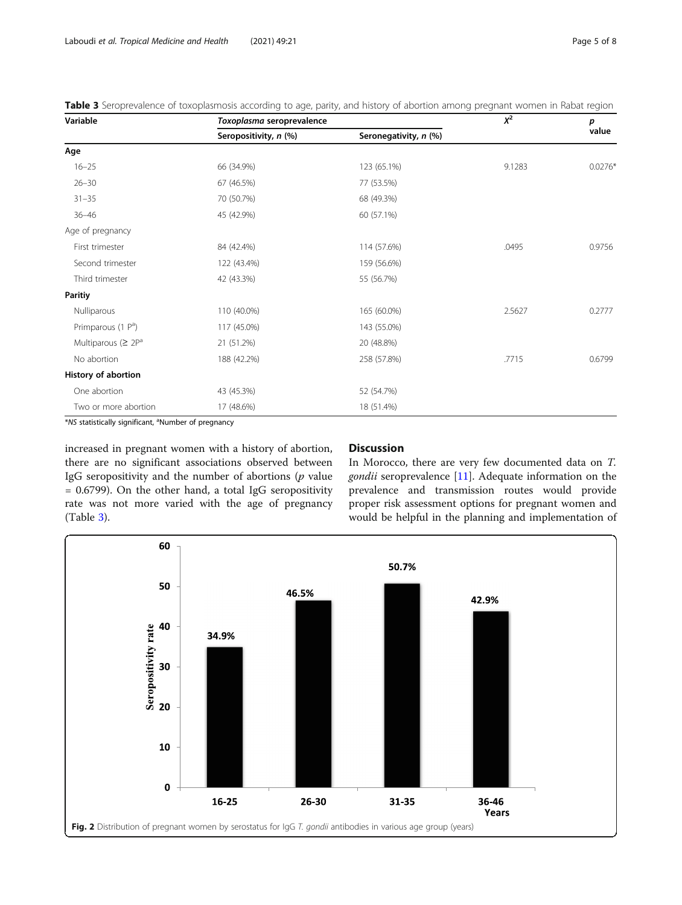<span id="page-4-0"></span>Table 3 Seroprevalence of toxoplasmosis according to age, parity, and history of abortion among pregnant women in Rabat region

| Variable                       | Toxoplasma seroprevalence | $X^2$                 | p      |           |
|--------------------------------|---------------------------|-----------------------|--------|-----------|
|                                | Seropositivity, n (%)     | Seronegativity, n (%) |        | value     |
| Age                            |                           |                       |        |           |
| $16 - 25$                      | 66 (34.9%)                | 123 (65.1%)           | 9.1283 | $0.0276*$ |
| $26 - 30$                      | 67 (46.5%)                | 77 (53.5%)            |        |           |
| $31 - 35$                      | 70 (50.7%)                | 68 (49.3%)            |        |           |
| $36 - 46$                      | 45 (42.9%)                | 60 (57.1%)            |        |           |
| Age of pregnancy               |                           |                       |        |           |
| First trimester                | 84 (42.4%)                | 114 (57.6%)           | .0495  | 0.9756    |
| Second trimester               | 122 (43.4%)               | 159 (56.6%)           |        |           |
| Third trimester                | 42 (43.3%)                | 55 (56.7%)            |        |           |
| <b>Paritiy</b>                 |                           |                       |        |           |
| Nulliparous                    | 110 (40.0%)               | 165 (60.0%)           | 2.5627 | 0.2777    |
| Primparous (1 P <sup>a</sup> ) | 117 (45.0%)               | 143 (55.0%)           |        |           |
| Multiparous ( $\geq 2P^a$      | 21 (51.2%)                | 20 (48.8%)            |        |           |
| No abortion                    | 188 (42.2%)               | 258 (57.8%)           | .7715  | 0.6799    |
| History of abortion            |                           |                       |        |           |
| One abortion                   | 43 (45.3%)                | 52 (54.7%)            |        |           |
| Two or more abortion           | 17 (48.6%)                | 18 (51.4%)            |        |           |

\*NS statistically significant, <sup>a</sup>Number of pregnancy

increased in pregnant women with a history of abortion, there are no significant associations observed between IgG seropositivity and the number of abortions  $(p$  value = 0.6799). On the other hand, a total IgG seropositivity rate was not more varied with the age of pregnancy (Table 3).

#### **Discussion**

In Morocco, there are very few documented data on T. gondii seroprevalence [[11](#page-6-0)]. Adequate information on the prevalence and transmission routes would provide proper risk assessment options for pregnant women and would be helpful in the planning and implementation of

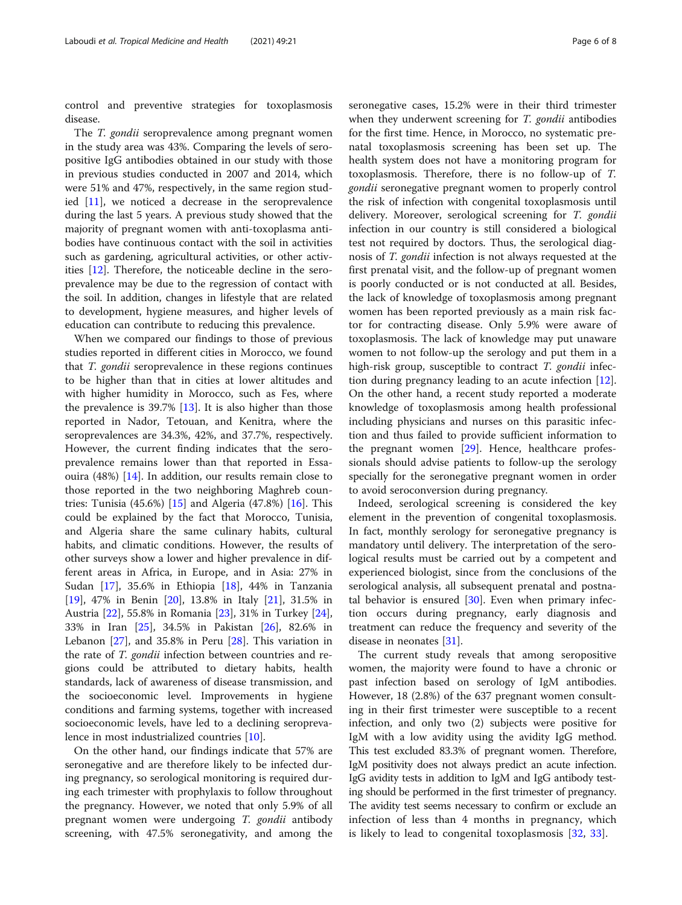control and preventive strategies for toxoplasmosis disease.

The *T. gondii* seroprevalence among pregnant women in the study area was 43%. Comparing the levels of seropositive IgG antibodies obtained in our study with those in previous studies conducted in 2007 and 2014, which were 51% and 47%, respectively, in the same region studied [\[11](#page-6-0)], we noticed a decrease in the seroprevalence during the last 5 years. A previous study showed that the majority of pregnant women with anti-toxoplasma antibodies have continuous contact with the soil in activities such as gardening, agricultural activities, or other activities [\[12](#page-6-0)]. Therefore, the noticeable decline in the seroprevalence may be due to the regression of contact with the soil. In addition, changes in lifestyle that are related to development, hygiene measures, and higher levels of education can contribute to reducing this prevalence.

When we compared our findings to those of previous studies reported in different cities in Morocco, we found that T. gondii seroprevalence in these regions continues to be higher than that in cities at lower altitudes and with higher humidity in Morocco, such as Fes, where the prevalence is  $39.7\%$  [[13\]](#page-7-0). It is also higher than those reported in Nador, Tetouan, and Kenitra, where the seroprevalences are 34.3%, 42%, and 37.7%, respectively. However, the current finding indicates that the seroprevalence remains lower than that reported in Essaouira (48%) [\[14](#page-7-0)]. In addition, our results remain close to those reported in the two neighboring Maghreb countries: Tunisia (45.6%) [\[15\]](#page-7-0) and Algeria (47.8%) [[16\]](#page-7-0). This could be explained by the fact that Morocco, Tunisia, and Algeria share the same culinary habits, cultural habits, and climatic conditions. However, the results of other surveys show a lower and higher prevalence in different areas in Africa, in Europe, and in Asia: 27% in Sudan [[17\]](#page-7-0), 35.6% in Ethiopia [[18\]](#page-7-0), 44% in Tanzania [[19\]](#page-7-0), 47% in Benin [\[20](#page-7-0)], 13.8% in Italy [[21\]](#page-7-0), 31.5% in Austria [[22\]](#page-7-0), 55.8% in Romania [\[23\]](#page-7-0), 31% in Turkey [\[24](#page-7-0)], 33% in Iran [[25\]](#page-7-0), 34.5% in Pakistan [[26\]](#page-7-0), 82.6% in Lebanon  $[27]$ , and 35.8% in Peru  $[28]$ . This variation in the rate of T. gondii infection between countries and regions could be attributed to dietary habits, health standards, lack of awareness of disease transmission, and the socioeconomic level. Improvements in hygiene conditions and farming systems, together with increased socioeconomic levels, have led to a declining seroprevalence in most industrialized countries [[10\]](#page-6-0).

On the other hand, our findings indicate that 57% are seronegative and are therefore likely to be infected during pregnancy, so serological monitoring is required during each trimester with prophylaxis to follow throughout the pregnancy. However, we noted that only 5.9% of all pregnant women were undergoing T. gondii antibody screening, with 47.5% seronegativity, and among the seronegative cases, 15.2% were in their third trimester when they underwent screening for T. gondii antibodies for the first time. Hence, in Morocco, no systematic prenatal toxoplasmosis screening has been set up. The health system does not have a monitoring program for toxoplasmosis. Therefore, there is no follow-up of T. gondii seronegative pregnant women to properly control the risk of infection with congenital toxoplasmosis until delivery. Moreover, serological screening for T. gondii infection in our country is still considered a biological test not required by doctors. Thus, the serological diagnosis of T. gondii infection is not always requested at the first prenatal visit, and the follow-up of pregnant women is poorly conducted or is not conducted at all. Besides, the lack of knowledge of toxoplasmosis among pregnant women has been reported previously as a main risk factor for contracting disease. Only 5.9% were aware of toxoplasmosis. The lack of knowledge may put unaware women to not follow-up the serology and put them in a high-risk group, susceptible to contract T. gondii infection during pregnancy leading to an acute infection [\[12](#page-6-0)]. On the other hand, a recent study reported a moderate knowledge of toxoplasmosis among health professional including physicians and nurses on this parasitic infection and thus failed to provide sufficient information to the pregnant women [[29\]](#page-7-0). Hence, healthcare professionals should advise patients to follow-up the serology specially for the seronegative pregnant women in order to avoid seroconversion during pregnancy.

Indeed, serological screening is considered the key element in the prevention of congenital toxoplasmosis. In fact, monthly serology for seronegative pregnancy is mandatory until delivery. The interpretation of the serological results must be carried out by a competent and experienced biologist, since from the conclusions of the serological analysis, all subsequent prenatal and postnatal behavior is ensured  $[30]$  $[30]$ . Even when primary infection occurs during pregnancy, early diagnosis and treatment can reduce the frequency and severity of the disease in neonates [\[31](#page-7-0)].

The current study reveals that among seropositive women, the majority were found to have a chronic or past infection based on serology of IgM antibodies. However, 18 (2.8%) of the 637 pregnant women consulting in their first trimester were susceptible to a recent infection, and only two (2) subjects were positive for IgM with a low avidity using the avidity IgG method. This test excluded 83.3% of pregnant women. Therefore, IgM positivity does not always predict an acute infection. IgG avidity tests in addition to IgM and IgG antibody testing should be performed in the first trimester of pregnancy. The avidity test seems necessary to confirm or exclude an infection of less than 4 months in pregnancy, which is likely to lead to congenital toxoplasmosis [\[32](#page-7-0), [33\]](#page-7-0).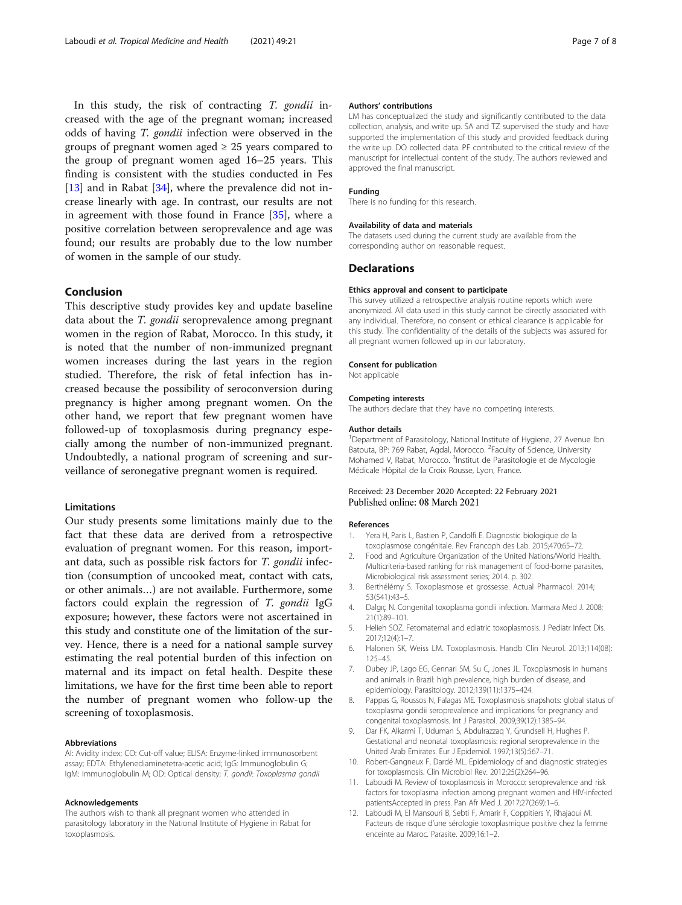<span id="page-6-0"></span>In this study, the risk of contracting T. gondii increased with the age of the pregnant woman; increased odds of having T. gondii infection were observed in the groups of pregnant women aged  $\geq$  25 years compared to the group of pregnant women aged 16–25 years. This finding is consistent with the studies conducted in Fes [[13\]](#page-7-0) and in Rabat [[34\]](#page-7-0), where the prevalence did not increase linearly with age. In contrast, our results are not in agreement with those found in France [\[35](#page-7-0)], where a positive correlation between seroprevalence and age was found; our results are probably due to the low number of women in the sample of our study.

#### Conclusion

This descriptive study provides key and update baseline data about the *T. gondii* seroprevalence among pregnant women in the region of Rabat, Morocco. In this study, it is noted that the number of non-immunized pregnant women increases during the last years in the region studied. Therefore, the risk of fetal infection has increased because the possibility of seroconversion during pregnancy is higher among pregnant women. On the other hand, we report that few pregnant women have followed-up of toxoplasmosis during pregnancy especially among the number of non-immunized pregnant. Undoubtedly, a national program of screening and surveillance of seronegative pregnant women is required.

#### Limitations

Our study presents some limitations mainly due to the fact that these data are derived from a retrospective evaluation of pregnant women. For this reason, important data, such as possible risk factors for T. gondii infection (consumption of uncooked meat, contact with cats, or other animals…) are not available. Furthermore, some factors could explain the regression of T. gondii IgG exposure; however, these factors were not ascertained in this study and constitute one of the limitation of the survey. Hence, there is a need for a national sample survey estimating the real potential burden of this infection on maternal and its impact on fetal health. Despite these limitations, we have for the first time been able to report the number of pregnant women who follow-up the screening of toxoplasmosis.

#### Abbreviations

AI: Avidity index; CO: Cut-off value; ELISA: Enzyme-linked immunosorbent assay; EDTA: Ethylenediaminetetra-acetic acid; IgG: Immunoglobulin G; IgM: Immunoglobulin M; OD: Optical density; T. gondii: Toxoplasma gondii

#### Acknowledgements

The authors wish to thank all pregnant women who attended in parasitology laboratory in the National Institute of Hygiene in Rabat for toxoplasmosis.

#### Authors' contributions

LM has conceptualized the study and significantly contributed to the data collection, analysis, and write up. SA and TZ supervised the study and have supported the implementation of this study and provided feedback during the write up. DO collected data. PF contributed to the critical review of the manuscript for intellectual content of the study. The authors reviewed and approved the final manuscript.

#### Funding

There is no funding for this research.

#### Availability of data and materials

The datasets used during the current study are available from the corresponding author on reasonable request.

#### **Declarations**

#### Ethics approval and consent to participate

This survey utilized a retrospective analysis routine reports which were anonymized. All data used in this study cannot be directly associated with any individual. Therefore, no consent or ethical clearance is applicable for this study. The confidentiality of the details of the subjects was assured for all pregnant women followed up in our laboratory.

#### Consent for publication

Not applicable

#### Competing interests

The authors declare that they have no competing interests.

#### Author details

<sup>1</sup>Department of Parasitology, National Institute of Hygiene, 27 Avenue Ibn Batouta, BP: 769 Rabat, Agdal, Morocco. <sup>2</sup> Faculty of Science, University Mohamed V, Rabat, Morocco. <sup>3</sup>Institut de Parasitologie et de Mycologie Médicale Hôpital de la Croix Rousse, Lyon, France.

#### Received: 23 December 2020 Accepted: 22 February 2021 Published online: 08 March 2021

#### References

- 1. Yera H, Paris L, Bastien P, Candolfi E. Diagnostic biologique de la toxoplasmose congénitale. Rev Francoph des Lab. 2015;470:65–72.
- 2. Food and Agriculture Organization of the United Nations/World Health. Multicriteria-based ranking for risk management of food-borne parasites, Microbiological risk assessment series; 2014. p. 302.
- 3. Berthélémy S. Toxoplasmose et grossesse. Actual Pharmacol. 2014; 53(541):43–5.
- 4. Dalgıç N. Congenital toxoplasma gondii infection. Marmara Med J. 2008; 21(1):89–101.
- 5. Helieh SOZ. Fetomaternal and ediatric toxoplasmosis. J Pediatr Infect Dis. 2017;12(4):1–7.
- 6. Halonen SK, Weiss LM. Toxoplasmosis. Handb Clin Neurol. 2013;114(08): 125–45.
- 7. Dubey JP, Lago EG, Gennari SM, Su C, Jones JL. Toxoplasmosis in humans and animals in Brazil: high prevalence, high burden of disease, and epidemiology. Parasitology. 2012;139(11):1375–424.
- 8. Pappas G, Roussos N, Falagas ME. Toxoplasmosis snapshots: global status of toxoplasma gondii seroprevalence and implications for pregnancy and congenital toxoplasmosis. Int J Parasitol. 2009;39(12):1385–94.
- 9. Dar FK, Alkarmi T, Uduman S, Abdulrazzaq Y, Grundsell H, Hughes P. Gestational and neonatal toxoplasmosis: regional seroprevalence in the United Arab Emirates. Eur J Epidemiol. 1997;13(5):567–71.
- 10. Robert-Gangneux F, Dardé ML. Epidemiology of and diagnostic strategies for toxoplasmosis. Clin Microbiol Rev. 2012;25(2):264–96.
- 11. Laboudi M. Review of toxoplasmosis in Morocco: seroprevalence and risk factors for toxoplasma infection among pregnant women and HIV-infected patientsAccepted in press. Pan Afr Med J. 2017;27(269):1–6.
- 12. Laboudi M, El Mansouri B, Sebti F, Amarir F, Coppitiers Y, Rhajaoui M. Facteurs de risque d'une sérologie toxoplasmique positive chez la femme enceinte au Maroc. Parasite. 2009;16:1–2.